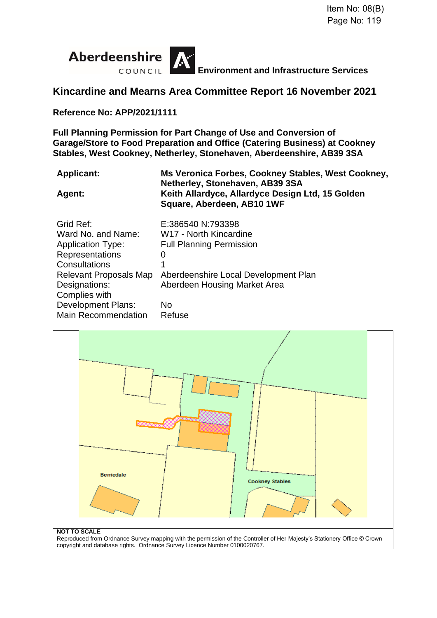

**Environment and Infrastructure Services**

# **Kincardine and Mearns Area Committee Report 16 November 2021**

**Reference No: APP/2021/1111**

**Full Planning Permission for Part Change of Use and Conversion of Garage/Store to Food Preparation and Office (Catering Business) at Cookney Stables, West Cookney, Netherley, Stonehaven, Aberdeenshire, AB39 3SA**

| <b>Applicant:</b> | Ms Veronica Forbes, Cookney Stables, West Cookney, |
|-------------------|----------------------------------------------------|
|                   | Netherley, Stonehaven, AB39 3SA                    |
| <b>Agent:</b>     | Keith Allardyce, Allardyce Design Ltd, 15 Golden   |
|                   | Square, Aberdeen, AB10 1WF                         |

| Grid Ref:                 | E:386540 N:793398                    |
|---------------------------|--------------------------------------|
| Ward No. and Name:        | W <sub>17</sub> - North Kincardine   |
| <b>Application Type:</b>  | <b>Full Planning Permission</b>      |
| Representations           | 0                                    |
| Consultations             | 1                                    |
| Relevant Proposals Map    | Aberdeenshire Local Development Plan |
|                           |                                      |
| Designations:             | Aberdeen Housing Market Area         |
| Complies with             |                                      |
| <b>Development Plans:</b> | No                                   |



copyright and database rights. Ordnance Survey Licence Number 0100020767.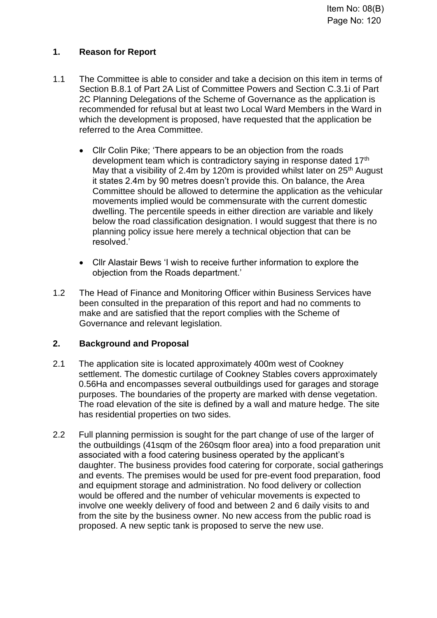# **1. Reason for Report**

- 1.1 The Committee is able to consider and take a decision on this item in terms of Section B.8.1 of Part 2A List of Committee Powers and Section C.3.1i of Part 2C Planning Delegations of the Scheme of Governance as the application is recommended for refusal but at least two Local Ward Members in the Ward in which the development is proposed, have requested that the application be referred to the Area Committee.
	- Cllr Colin Pike; 'There appears to be an objection from the roads development team which is contradictory saying in response dated 17th May that a visibility of 2.4m by 120m is provided whilst later on 25<sup>th</sup> August it states 2.4m by 90 metres doesn't provide this. On balance, the Area Committee should be allowed to determine the application as the vehicular movements implied would be commensurate with the current domestic dwelling. The percentile speeds in either direction are variable and likely below the road classification designation. I would suggest that there is no planning policy issue here merely a technical objection that can be resolved.'
	- Cllr Alastair Bews 'I wish to receive further information to explore the objection from the Roads department.'
- 1.2 The Head of Finance and Monitoring Officer within Business Services have been consulted in the preparation of this report and had no comments to make and are satisfied that the report complies with the Scheme of Governance and relevant legislation.

# **2. Background and Proposal**

- 2.1 The application site is located approximately 400m west of Cookney settlement. The domestic curtilage of Cookney Stables covers approximately 0.56Ha and encompasses several outbuildings used for garages and storage purposes. The boundaries of the property are marked with dense vegetation. The road elevation of the site is defined by a wall and mature hedge. The site has residential properties on two sides.
- 2.2 Full planning permission is sought for the part change of use of the larger of the outbuildings (41sqm of the 260sqm floor area) into a food preparation unit associated with a food catering business operated by the applicant's daughter. The business provides food catering for corporate, social gatherings and events. The premises would be used for pre-event food preparation, food and equipment storage and administration. No food delivery or collection would be offered and the number of vehicular movements is expected to involve one weekly delivery of food and between 2 and 6 daily visits to and from the site by the business owner. No new access from the public road is proposed. A new septic tank is proposed to serve the new use.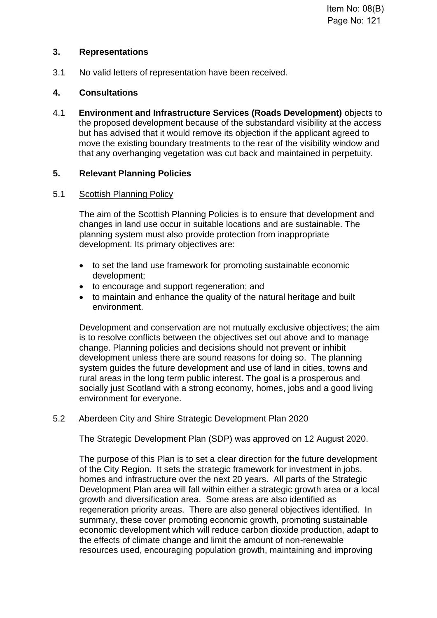## **3. Representations**

3.1 No valid letters of representation have been received.

## **4. Consultations**

4.1 **Environment and Infrastructure Services (Roads Development)** objects to the proposed development because of the substandard visibility at the access but has advised that it would remove its objection if the applicant agreed to move the existing boundary treatments to the rear of the visibility window and that any overhanging vegetation was cut back and maintained in perpetuity.

# **5. Relevant Planning Policies**

### 5.1 Scottish Planning Policy

The aim of the Scottish Planning Policies is to ensure that development and changes in land use occur in suitable locations and are sustainable. The planning system must also provide protection from inappropriate development. Its primary objectives are:

- to set the land use framework for promoting sustainable economic development;
- to encourage and support regeneration; and
- to maintain and enhance the quality of the natural heritage and built environment.

Development and conservation are not mutually exclusive objectives; the aim is to resolve conflicts between the objectives set out above and to manage change. Planning policies and decisions should not prevent or inhibit development unless there are sound reasons for doing so. The planning system guides the future development and use of land in cities, towns and rural areas in the long term public interest. The goal is a prosperous and socially just Scotland with a strong economy, homes, jobs and a good living environment for everyone.

# 5.2 Aberdeen City and Shire Strategic Development Plan 2020

The Strategic Development Plan (SDP) was approved on 12 August 2020.

The purpose of this Plan is to set a clear direction for the future development of the City Region. It sets the strategic framework for investment in jobs, homes and infrastructure over the next 20 years. All parts of the Strategic Development Plan area will fall within either a strategic growth area or a local growth and diversification area. Some areas are also identified as regeneration priority areas. There are also general objectives identified. In summary, these cover promoting economic growth, promoting sustainable economic development which will reduce carbon dioxide production, adapt to the effects of climate change and limit the amount of non-renewable resources used, encouraging population growth, maintaining and improving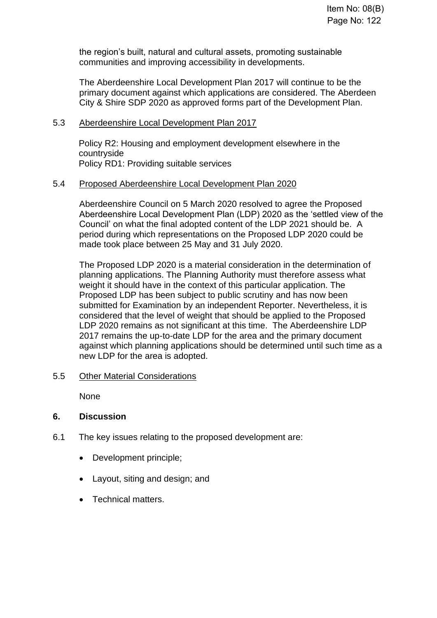the region's built, natural and cultural assets, promoting sustainable communities and improving accessibility in developments.

The Aberdeenshire Local Development Plan 2017 will continue to be the primary document against which applications are considered. The Aberdeen City & Shire SDP 2020 as approved forms part of the Development Plan.

### 5.3 Aberdeenshire Local Development Plan 2017

Policy R2: Housing and employment development elsewhere in the countryside Policy RD1: Providing suitable services

### 5.4 Proposed Aberdeenshire Local Development Plan 2020

Aberdeenshire Council on 5 March 2020 resolved to agree the Proposed Aberdeenshire Local Development Plan (LDP) 2020 as the 'settled view of the Council' on what the final adopted content of the LDP 2021 should be. A period during which representations on the Proposed LDP 2020 could be made took place between 25 May and 31 July 2020.

The Proposed LDP 2020 is a material consideration in the determination of planning applications. The Planning Authority must therefore assess what weight it should have in the context of this particular application. The Proposed LDP has been subject to public scrutiny and has now been submitted for Examination by an independent Reporter. Nevertheless, it is considered that the level of weight that should be applied to the Proposed LDP 2020 remains as not significant at this time. The Aberdeenshire LDP 2017 remains the up-to-date LDP for the area and the primary document against which planning applications should be determined until such time as a new LDP for the area is adopted.

### 5.5 Other Material Considerations

None

## **6. Discussion**

- 6.1 The key issues relating to the proposed development are:
	- Development principle;
	- Layout, siting and design; and
	- Technical matters.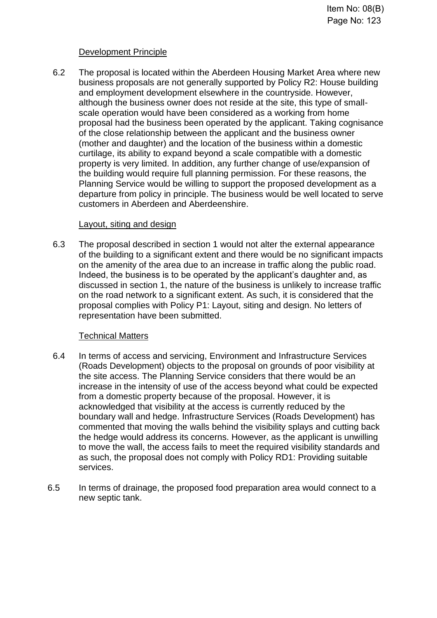## Development Principle

6.2 The proposal is located within the Aberdeen Housing Market Area where new business proposals are not generally supported by Policy R2: House building and employment development elsewhere in the countryside. However, although the business owner does not reside at the site, this type of smallscale operation would have been considered as a working from home proposal had the business been operated by the applicant. Taking cognisance of the close relationship between the applicant and the business owner (mother and daughter) and the location of the business within a domestic curtilage, its ability to expand beyond a scale compatible with a domestic property is very limited. In addition, any further change of use/expansion of the building would require full planning permission. For these reasons, the Planning Service would be willing to support the proposed development as a departure from policy in principle. The business would be well located to serve customers in Aberdeen and Aberdeenshire.

#### Layout, siting and design

6.3 The proposal described in section 1 would not alter the external appearance of the building to a significant extent and there would be no significant impacts on the amenity of the area due to an increase in traffic along the public road. Indeed, the business is to be operated by the applicant's daughter and, as discussed in section 1, the nature of the business is unlikely to increase traffic on the road network to a significant extent. As such, it is considered that the proposal complies with Policy P1: Layout, siting and design. No letters of representation have been submitted.

### Technical Matters

- 6.4 In terms of access and servicing, Environment and Infrastructure Services (Roads Development) objects to the proposal on grounds of poor visibility at the site access. The Planning Service considers that there would be an increase in the intensity of use of the access beyond what could be expected from a domestic property because of the proposal. However, it is acknowledged that visibility at the access is currently reduced by the boundary wall and hedge. Infrastructure Services (Roads Development) has commented that moving the walls behind the visibility splays and cutting back the hedge would address its concerns. However, as the applicant is unwilling to move the wall, the access fails to meet the required visibility standards and as such, the proposal does not comply with Policy RD1: Providing suitable services.
- 6.5 In terms of drainage, the proposed food preparation area would connect to a new septic tank.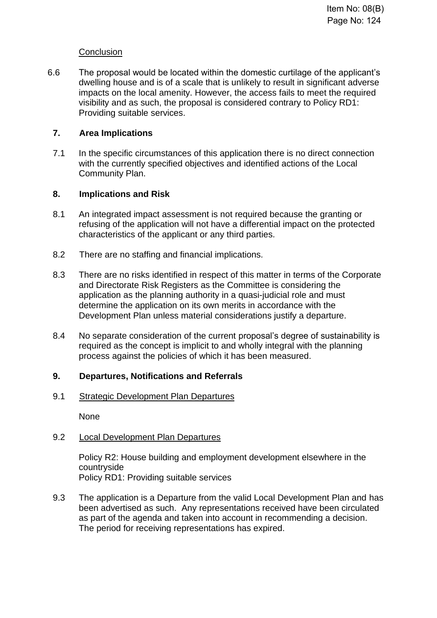## **Conclusion**

6.6 The proposal would be located within the domestic curtilage of the applicant's dwelling house and is of a scale that is unlikely to result in significant adverse impacts on the local amenity. However, the access fails to meet the required visibility and as such, the proposal is considered contrary to Policy RD1: Providing suitable services.

## **7. Area Implications**

7.1 In the specific circumstances of this application there is no direct connection with the currently specified objectives and identified actions of the Local Community Plan.

## **8. Implications and Risk**

- 8.1 An integrated impact assessment is not required because the granting or refusing of the application will not have a differential impact on the protected characteristics of the applicant or any third parties.
- 8.2 There are no staffing and financial implications.
- 8.3 There are no risks identified in respect of this matter in terms of the Corporate and Directorate Risk Registers as the Committee is considering the application as the planning authority in a quasi-judicial role and must determine the application on its own merits in accordance with the Development Plan unless material considerations justify a departure.
- 8.4 No separate consideration of the current proposal's degree of sustainability is required as the concept is implicit to and wholly integral with the planning process against the policies of which it has been measured.

# **9. Departures, Notifications and Referrals**

### 9.1 Strategic Development Plan Departures

None

# 9.2 Local Development Plan Departures

Policy R2: House building and employment development elsewhere in the countryside Policy RD1: Providing suitable services

9.3 The application is a Departure from the valid Local Development Plan and has been advertised as such. Any representations received have been circulated as part of the agenda and taken into account in recommending a decision. The period for receiving representations has expired.